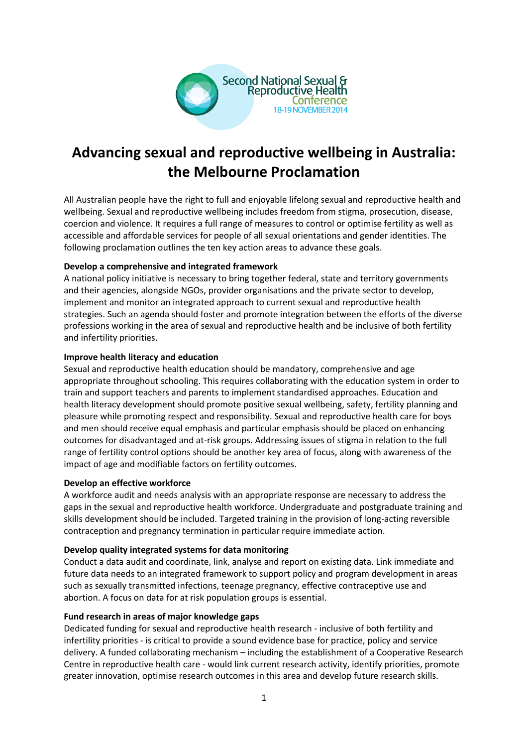

# **Advancing sexual and reproductive wellbeing in Australia: the Melbourne Proclamation**

All Australian people have the right to full and enjoyable lifelong sexual and reproductive health and wellbeing. Sexual and reproductive wellbeing includes freedom from stigma, prosecution, disease, coercion and violence. It requires a full range of measures to control or optimise fertility as well as accessible and affordable services for people of all sexual orientations and gender identities. The following proclamation outlines the ten key action areas to advance these goals.

## **Develop a comprehensive and integrated framework**

A national policy initiative is necessary to bring together federal, state and territory governments and their agencies, alongside NGOs, provider organisations and the private sector to develop, implement and monitor an integrated approach to current sexual and reproductive health strategies. Such an agenda should foster and promote integration between the efforts of the diverse professions working in the area of sexual and reproductive health and be inclusive of both fertility and infertility priorities.

## **Improve health literacy and education**

Sexual and reproductive health education should be mandatory, comprehensive and age appropriate throughout schooling. This requires collaborating with the education system in order to train and support teachers and parents to implement standardised approaches. Education and health literacy development should promote positive sexual wellbeing, safety, fertility planning and pleasure while promoting respect and responsibility. Sexual and reproductive health care for boys and men should receive equal emphasis and particular emphasis should be placed on enhancing outcomes for disadvantaged and at-risk groups. Addressing issues of stigma in relation to the full range of fertility control options should be another key area of focus, along with awareness of the impact of age and modifiable factors on fertility outcomes.

#### **Develop an effective workforce**

A workforce audit and needs analysis with an appropriate response are necessary to address the gaps in the sexual and reproductive health workforce. Undergraduate and postgraduate training and skills development should be included. Targeted training in the provision of long-acting reversible contraception and pregnancy termination in particular require immediate action.

#### **Develop quality integrated systems for data monitoring**

Conduct a data audit and coordinate, link, analyse and report on existing data. Link immediate and future data needs to an integrated framework to support policy and program development in areas such as sexually transmitted infections, teenage pregnancy, effective contraceptive use and abortion. A focus on data for at risk population groups is essential.

#### **Fund research in areas of major knowledge gaps**

Dedicated funding for sexual and reproductive health research - inclusive of both fertility and infertility priorities - is critical to provide a sound evidence base for practice, policy and service delivery. A funded collaborating mechanism – including the establishment of a Cooperative Research Centre in reproductive health care - would link current research activity, identify priorities, promote greater innovation, optimise research outcomes in this area and develop future research skills.